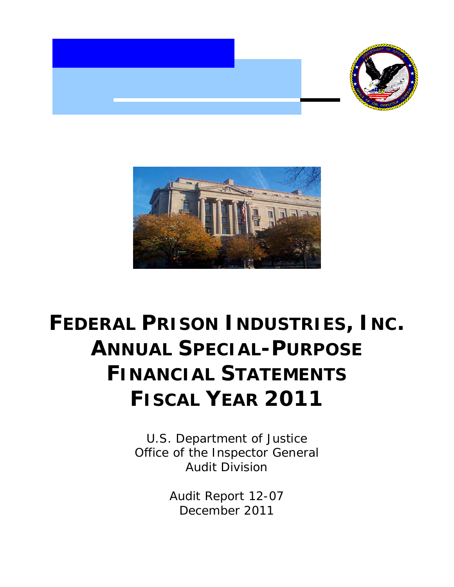



## **FEDERAL PRISON INDUSTRIES, INC. ANNUAL SPECIAL-PURPOSE FINANCIAL STATEMENTS FISCAL YEAR 2011**

U.S. Department of Justice Office of the Inspector General Audit Division

> Audit Report 12-07 December 2011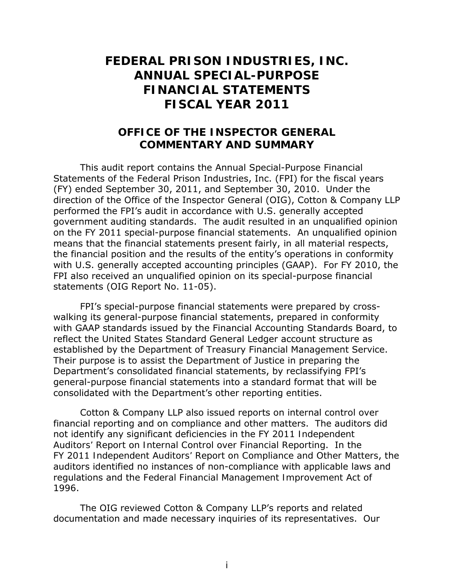## **FEDERAL PRISON INDUSTRIES, INC. FISCAL YEAR 2011 ANNUAL SPECIAL-PURPOSE FINANCIAL STATEMENTS**

## **OFFICE OF THE INSPECTOR GENERAL COMMENTARY AND SUMMARY**

 This audit report contains the Annual Special-Purpose Financial Statements of the Federal Prison Industries, Inc. (FPI) for the fiscal years (FY) ended September 30, 2011, and September 30, 2010. Under the direction of the Office of the Inspector General (OIG), Cotton & Company LLP performed the FPI's audit in accordance with U.S. generally accepted government auditing standards. The audit resulted in an unqualified opinion on the FY 2011 special-purpose financial statements. An unqualified opinion means that the financial statements present fairly, in all material respects, the financial position and the results of the entity's operations in conformity with U.S. generally accepted accounting principles (GAAP). For FY 2010, the FPI also received an unqualified opinion on its special-purpose financial statements (OIG Report No. 11-05).

 FPI's special-purpose financial statements were prepared by cross- walking its general-purpose financial statements, prepared in conformity with GAAP standards issued by the Financial Accounting Standards Board, to reflect the United States Standard General Ledger account structure as established by the Department of Treasury Financial Management Service. Their purpose is to assist the Department of Justice in preparing the Department's consolidated financial statements, by reclassifying FPI's general-purpose financial statements into a standard format that will be consolidated with the Department's other reporting entities.

 Cotton & Company LLP also issued reports on internal control over financial reporting and on compliance and other matters. The auditors did not identify any significant deficiencies in the FY 2011 *Independent Auditors' Report on Internal Control over Financial Reporting*. In the FY 2011 *Independent Auditors' Report on Compliance and Other Matters*, the auditors identified no instances of non-compliance with applicable laws and regulations and the *Federal Financial Management Improvement Act of 1996*.

 The OIG reviewed Cotton & Company LLP's reports and related documentation and made necessary inquiries of its representatives. Our